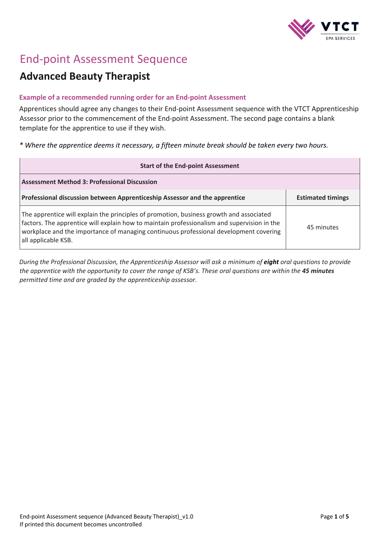

## End-point Assessment Sequence

## **Advanced Beauty Therapist**

## **Example of a recommended running order for an End-point Assessment**

Apprentices should agree any changes to their End-point Assessment sequence with the VTCT Apprenticeship Assessor prior to the commencement of the End-point Assessment. The second page contains a blank template for the apprentice to use if they wish.

*\* Where the apprentice deems it necessary, a fifteen minute break should be taken every two hours.*

| <b>Start of the End-point Assessment</b>                                                                                                                                                                                                                                                               |                          |
|--------------------------------------------------------------------------------------------------------------------------------------------------------------------------------------------------------------------------------------------------------------------------------------------------------|--------------------------|
| <b>Assessment Method 3: Professional Discussion</b>                                                                                                                                                                                                                                                    |                          |
| Professional discussion between Apprenticeship Assessor and the apprentice                                                                                                                                                                                                                             | <b>Estimated timings</b> |
| The apprentice will explain the principles of promotion, business growth and associated<br>factors. The apprentice will explain how to maintain professionalism and supervision in the<br>workplace and the importance of managing continuous professional development covering<br>all applicable KSB. | 45 minutes               |

*During the Professional Discussion, the Apprenticeship Assessor will ask a minimum of eight oral questions to provide the apprentice with the opportunity to cover the range of KSB's. These oral questions are within the 45 minutes permitted time and are graded by the apprenticeship assessor.*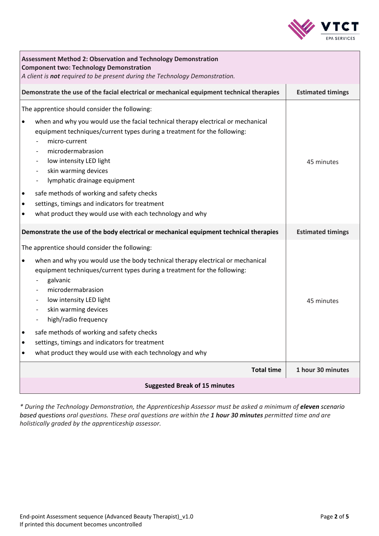

| <b>Assessment Method 2: Observation and Technology Demonstration</b><br><b>Component two: Technology Demonstration</b><br>A client is not required to be present during the Technology Demonstration.                                                                                                                                                                                                                                                                                                                                 |                          |  |  |
|---------------------------------------------------------------------------------------------------------------------------------------------------------------------------------------------------------------------------------------------------------------------------------------------------------------------------------------------------------------------------------------------------------------------------------------------------------------------------------------------------------------------------------------|--------------------------|--|--|
| Demonstrate the use of the facial electrical or mechanical equipment technical therapies                                                                                                                                                                                                                                                                                                                                                                                                                                              | <b>Estimated timings</b> |  |  |
| The apprentice should consider the following:<br>when and why you would use the facial technical therapy electrical or mechanical<br>$\bullet$<br>equipment techniques/current types during a treatment for the following:<br>micro-current<br>microdermabrasion<br>low intensity LED light<br>skin warming devices<br>lymphatic drainage equipment<br>safe methods of working and safety checks<br>٠<br>settings, timings and indicators for treatment<br>٠<br>what product they would use with each technology and why<br>$\bullet$ | 45 minutes               |  |  |
| Demonstrate the use of the body electrical or mechanical equipment technical therapies                                                                                                                                                                                                                                                                                                                                                                                                                                                | <b>Estimated timings</b> |  |  |
| The apprentice should consider the following:<br>when and why you would use the body technical therapy electrical or mechanical<br>$\bullet$<br>equipment techniques/current types during a treatment for the following:<br>galvanic<br>microdermabrasion<br>low intensity LED light<br>skin warming devices<br>high/radio frequency<br>safe methods of working and safety checks<br>settings, timings and indicators for treatment<br>$\bullet$<br>what product they would use with each technology and why<br>$\bullet$             | 45 minutes               |  |  |
| <b>Total time</b>                                                                                                                                                                                                                                                                                                                                                                                                                                                                                                                     | 1 hour 30 minutes        |  |  |
| <b>Suggested Break of 15 minutes</b>                                                                                                                                                                                                                                                                                                                                                                                                                                                                                                  |                          |  |  |

*\* During the Technology Demonstration, the Apprenticeship Assessor must be asked a minimum of eleven scenario based questions oral questions. These oral questions are within the 1 hour 30 minutes permitted time and are holistically graded by the apprenticeship assessor.*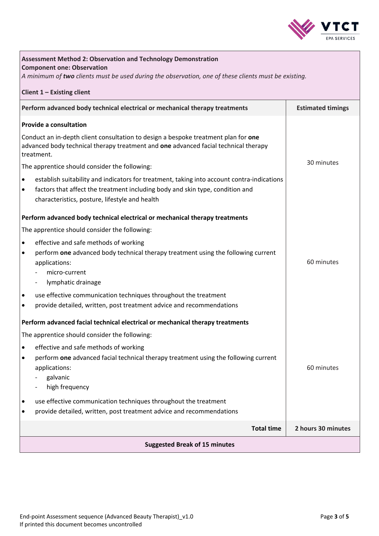

| <b>Assessment Method 2: Observation and Technology Demonstration</b><br><b>Component one: Observation</b><br>A minimum of two clients must be used during the observation, one of these clients must be existing. |                                                                                                                                                                                                                               |                          |  |  |
|-------------------------------------------------------------------------------------------------------------------------------------------------------------------------------------------------------------------|-------------------------------------------------------------------------------------------------------------------------------------------------------------------------------------------------------------------------------|--------------------------|--|--|
|                                                                                                                                                                                                                   | Client $1$ – Existing client                                                                                                                                                                                                  |                          |  |  |
|                                                                                                                                                                                                                   | Perform advanced body technical electrical or mechanical therapy treatments                                                                                                                                                   | <b>Estimated timings</b> |  |  |
|                                                                                                                                                                                                                   | <b>Provide a consultation</b><br>Conduct an in-depth client consultation to design a bespoke treatment plan for one                                                                                                           |                          |  |  |
|                                                                                                                                                                                                                   | advanced body technical therapy treatment and one advanced facial technical therapy<br>treatment.                                                                                                                             |                          |  |  |
|                                                                                                                                                                                                                   | The apprentice should consider the following:                                                                                                                                                                                 | 30 minutes               |  |  |
| $\bullet$<br>$\bullet$                                                                                                                                                                                            | establish suitability and indicators for treatment, taking into account contra-indications<br>factors that affect the treatment including body and skin type, condition and<br>characteristics, posture, lifestyle and health |                          |  |  |
|                                                                                                                                                                                                                   | Perform advanced body technical electrical or mechanical therapy treatments                                                                                                                                                   |                          |  |  |
|                                                                                                                                                                                                                   | The apprentice should consider the following:                                                                                                                                                                                 |                          |  |  |
| $\bullet$                                                                                                                                                                                                         | effective and safe methods of working                                                                                                                                                                                         |                          |  |  |
| $\bullet$                                                                                                                                                                                                         | perform one advanced body technical therapy treatment using the following current<br>applications:                                                                                                                            | 60 minutes               |  |  |
|                                                                                                                                                                                                                   | micro-current<br>lymphatic drainage                                                                                                                                                                                           |                          |  |  |
| ٠<br>$\bullet$                                                                                                                                                                                                    | use effective communication techniques throughout the treatment<br>provide detailed, written, post treatment advice and recommendations                                                                                       |                          |  |  |
|                                                                                                                                                                                                                   |                                                                                                                                                                                                                               |                          |  |  |
|                                                                                                                                                                                                                   | Perform advanced facial technical electrical or mechanical therapy treatments                                                                                                                                                 |                          |  |  |
|                                                                                                                                                                                                                   | The apprentice should consider the following:                                                                                                                                                                                 |                          |  |  |
| $\bullet$<br>$\bullet$                                                                                                                                                                                            | effective and safe methods of working<br>perform one advanced facial technical therapy treatment using the following current                                                                                                  |                          |  |  |
|                                                                                                                                                                                                                   | applications:                                                                                                                                                                                                                 | 60 minutes               |  |  |
|                                                                                                                                                                                                                   | galvanic                                                                                                                                                                                                                      |                          |  |  |
|                                                                                                                                                                                                                   | high frequency                                                                                                                                                                                                                |                          |  |  |
| ٠<br>٠                                                                                                                                                                                                            | use effective communication techniques throughout the treatment<br>provide detailed, written, post treatment advice and recommendations                                                                                       |                          |  |  |
|                                                                                                                                                                                                                   | <b>Total time</b>                                                                                                                                                                                                             | 2 hours 30 minutes       |  |  |
|                                                                                                                                                                                                                   | <b>Suggested Break of 15 minutes</b>                                                                                                                                                                                          |                          |  |  |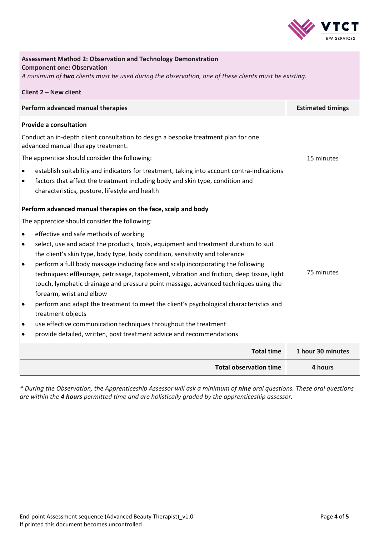

| <b>Assessment Method 2: Observation and Technology Demonstration</b><br><b>Component one: Observation</b><br>A minimum of two clients must be used during the observation, one of these clients must be existing. |                          |  |  |
|-------------------------------------------------------------------------------------------------------------------------------------------------------------------------------------------------------------------|--------------------------|--|--|
| Client 2 - New client                                                                                                                                                                                             |                          |  |  |
| Perform advanced manual therapies                                                                                                                                                                                 | <b>Estimated timings</b> |  |  |
| <b>Provide a consultation</b>                                                                                                                                                                                     |                          |  |  |
| Conduct an in-depth client consultation to design a bespoke treatment plan for one<br>advanced manual therapy treatment.                                                                                          |                          |  |  |
| The apprentice should consider the following:                                                                                                                                                                     | 15 minutes               |  |  |
| establish suitability and indicators for treatment, taking into account contra-indications<br>$\bullet$                                                                                                           |                          |  |  |
| factors that affect the treatment including body and skin type, condition and<br>$\bullet$<br>characteristics, posture, lifestyle and health                                                                      |                          |  |  |
| Perform advanced manual therapies on the face, scalp and body                                                                                                                                                     |                          |  |  |
| The apprentice should consider the following:                                                                                                                                                                     |                          |  |  |
| effective and safe methods of working<br>$\bullet$                                                                                                                                                                |                          |  |  |
| select, use and adapt the products, tools, equipment and treatment duration to suit<br>$\bullet$                                                                                                                  |                          |  |  |
| the client's skin type, body type, body condition, sensitivity and tolerance                                                                                                                                      |                          |  |  |
| perform a full body massage including face and scalp incorporating the following<br>$\bullet$                                                                                                                     | 75 minutes               |  |  |
| techniques: effleurage, petrissage, tapotement, vibration and friction, deep tissue, light<br>touch, lymphatic drainage and pressure point massage, advanced techniques using the                                 |                          |  |  |
| forearm, wrist and elbow                                                                                                                                                                                          |                          |  |  |
| perform and adapt the treatment to meet the client's psychological characteristics and<br>$\bullet$                                                                                                               |                          |  |  |
| treatment objects                                                                                                                                                                                                 |                          |  |  |
| use effective communication techniques throughout the treatment<br>$\bullet$                                                                                                                                      |                          |  |  |
| provide detailed, written, post treatment advice and recommendations<br>$\bullet$                                                                                                                                 |                          |  |  |
| <b>Total time</b>                                                                                                                                                                                                 | 1 hour 30 minutes        |  |  |
| <b>Total observation time</b>                                                                                                                                                                                     | 4 hours                  |  |  |

*\* During the Observation, the Apprenticeship Assessor will ask a minimum of nine oral questions. These oral questions are within the 4 hours permitted time and are holistically graded by the apprenticeship assessor.*